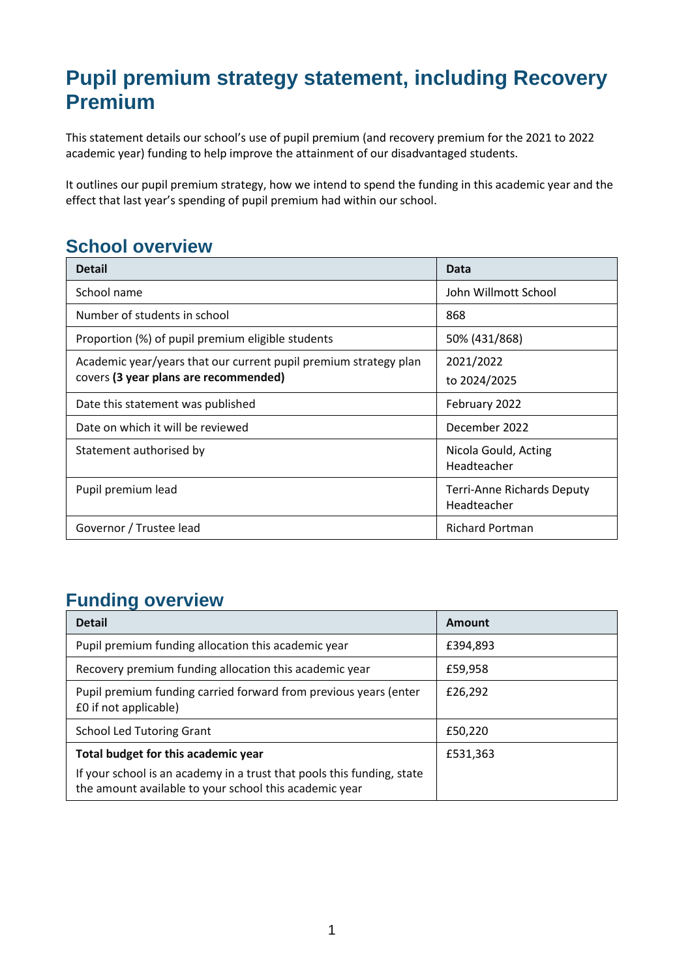## **Pupil premium strategy statement, including Recovery Premium**

This statement details our school's use of pupil premium (and recovery premium for the 2021 to 2022 academic year) funding to help improve the attainment of our disadvantaged students.

It outlines our pupil premium strategy, how we intend to spend the funding in this academic year and the effect that last year's spending of pupil premium had within our school.

#### **School overview**

| <b>Detail</b>                                                    | Data                                             |
|------------------------------------------------------------------|--------------------------------------------------|
| School name                                                      | John Willmott School                             |
| Number of students in school                                     | 868                                              |
| Proportion (%) of pupil premium eligible students                | 50% (431/868)                                    |
| Academic year/years that our current pupil premium strategy plan | 2021/2022                                        |
| covers (3 year plans are recommended)                            | to 2024/2025                                     |
| Date this statement was published                                | February 2022                                    |
| Date on which it will be reviewed                                | December 2022                                    |
| Statement authorised by                                          | Nicola Gould, Acting<br>Headteacher              |
| Pupil premium lead                                               | <b>Terri-Anne Richards Deputy</b><br>Headteacher |
| Governor / Trustee lead                                          | <b>Richard Portman</b>                           |

#### **Funding overview**

| <b>Detail</b>                                                                                                                    | Amount   |
|----------------------------------------------------------------------------------------------------------------------------------|----------|
| Pupil premium funding allocation this academic year                                                                              | £394,893 |
| Recovery premium funding allocation this academic year                                                                           | £59,958  |
| Pupil premium funding carried forward from previous years (enter<br>£0 if not applicable)                                        | £26,292  |
| <b>School Led Tutoring Grant</b>                                                                                                 | £50,220  |
| Total budget for this academic year                                                                                              | £531,363 |
| If your school is an academy in a trust that pools this funding, state<br>the amount available to your school this academic year |          |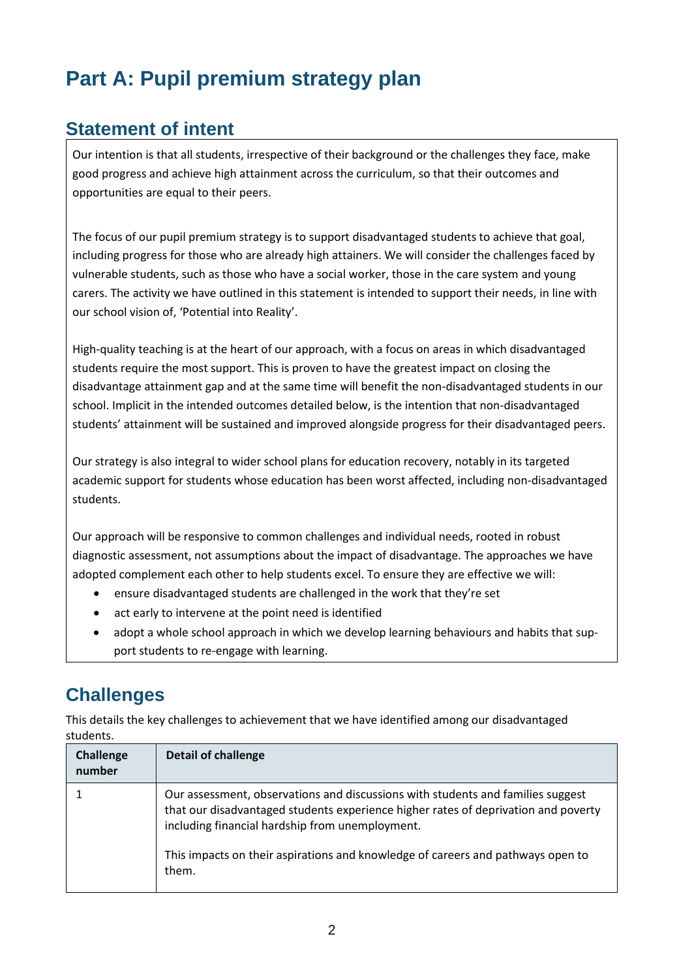## **Part A: Pupil premium strategy plan**

#### **Statement of intent**

Our intention is that all students, irrespective of their background or the challenges they face, make good progress and achieve high attainment across the curriculum, so that their outcomes and opportunities are equal to their peers.

The focus of our pupil premium strategy is to support disadvantaged students to achieve that goal, including progress for those who are already high attainers. We will consider the challenges faced by vulnerable students, such as those who have a social worker, those in the care system and young carers. The activity we have outlined in this statement is intended to support their needs, in line with our school vision of, 'Potential into Reality'.

High-quality teaching is at the heart of our approach, with a focus on areas in which disadvantaged students require the most support. This is proven to have the greatest impact on closing the disadvantage attainment gap and at the same time will benefit the non-disadvantaged students in our school. Implicit in the intended outcomes detailed below, is the intention that non-disadvantaged students' attainment will be sustained and improved alongside progress for their disadvantaged peers.

Our strategy is also integral to wider school plans for education recovery, notably in its targeted academic support for students whose education has been worst affected, including non-disadvantaged students.

Our approach will be responsive to common challenges and individual needs, rooted in robust diagnostic assessment, not assumptions about the impact of disadvantage. The approaches we have adopted complement each other to help students excel. To ensure they are effective we will:

- ensure disadvantaged students are challenged in the work that they're set
- act early to intervene at the point need is identified
- adopt a whole school approach in which we develop learning behaviours and habits that support students to re-engage with learning.

### **Challenges**

This details the key challenges to achievement that we have identified among our disadvantaged students.

| <b>Challenge</b><br>number | <b>Detail of challenge</b>                                                                                                                                                                                               |
|----------------------------|--------------------------------------------------------------------------------------------------------------------------------------------------------------------------------------------------------------------------|
|                            | Our assessment, observations and discussions with students and families suggest<br>that our disadvantaged students experience higher rates of deprivation and poverty<br>including financial hardship from unemployment. |
|                            | This impacts on their aspirations and knowledge of careers and pathways open to<br>them.                                                                                                                                 |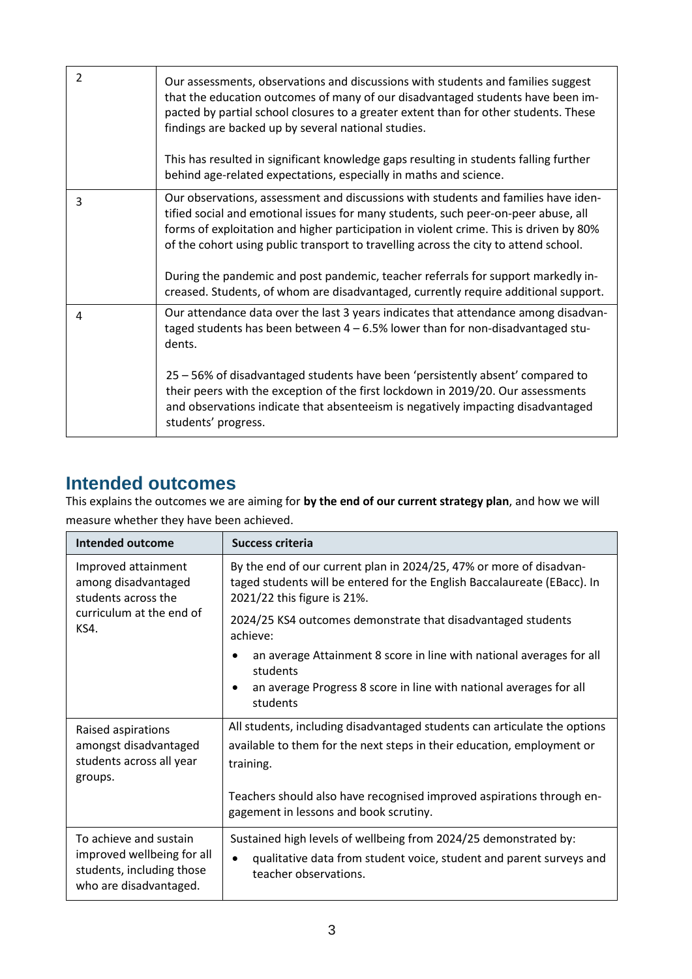| $\mathcal{P}$ | Our assessments, observations and discussions with students and families suggest<br>that the education outcomes of many of our disadvantaged students have been im-<br>pacted by partial school closures to a greater extent than for other students. These<br>findings are backed up by several national studies.<br>This has resulted in significant knowledge gaps resulting in students falling further<br>behind age-related expectations, especially in maths and science.                                                       |
|---------------|----------------------------------------------------------------------------------------------------------------------------------------------------------------------------------------------------------------------------------------------------------------------------------------------------------------------------------------------------------------------------------------------------------------------------------------------------------------------------------------------------------------------------------------|
| 3             | Our observations, assessment and discussions with students and families have iden-<br>tified social and emotional issues for many students, such peer-on-peer abuse, all<br>forms of exploitation and higher participation in violent crime. This is driven by 80%<br>of the cohort using public transport to travelling across the city to attend school.<br>During the pandemic and post pandemic, teacher referrals for support markedly in-<br>creased. Students, of whom are disadvantaged, currently require additional support. |
| 4             | Our attendance data over the last 3 years indicates that attendance among disadvan-<br>taged students has been between $4 - 6.5\%$ lower than for non-disadvantaged stu-<br>dents.<br>25 - 56% of disadvantaged students have been 'persistently absent' compared to<br>their peers with the exception of the first lockdown in 2019/20. Our assessments<br>and observations indicate that absenteeism is negatively impacting disadvantaged<br>students' progress.                                                                    |

#### **Intended outcomes**

This explains the outcomes we are aiming for **by the end of our current strategy plan**, and how we will measure whether they have been achieved.

| <b>Intended outcome</b>                                                           | <b>Success criteria</b>                                                                                                                                                        |
|-----------------------------------------------------------------------------------|--------------------------------------------------------------------------------------------------------------------------------------------------------------------------------|
| Improved attainment<br>among disadvantaged<br>students across the                 | By the end of our current plan in 2024/25, 47% or more of disadvan-<br>taged students will be entered for the English Baccalaureate (EBacc). In<br>2021/22 this figure is 21%. |
| curriculum at the end of<br>KS4.                                                  | 2024/25 KS4 outcomes demonstrate that disadvantaged students<br>achieve:                                                                                                       |
|                                                                                   | an average Attainment 8 score in line with national averages for all<br>students                                                                                               |
|                                                                                   | an average Progress 8 score in line with national averages for all<br>students                                                                                                 |
| Raised aspirations                                                                | All students, including disadvantaged students can articulate the options                                                                                                      |
| amongst disadvantaged                                                             | available to them for the next steps in their education, employment or                                                                                                         |
| students across all year<br>groups.                                               | training.                                                                                                                                                                      |
|                                                                                   | Teachers should also have recognised improved aspirations through en-<br>gagement in lessons and book scrutiny.                                                                |
| To achieve and sustain                                                            | Sustained high levels of wellbeing from 2024/25 demonstrated by:                                                                                                               |
| improved wellbeing for all<br>students, including those<br>who are disadvantaged. | qualitative data from student voice, student and parent surveys and<br>$\bullet$<br>teacher observations.                                                                      |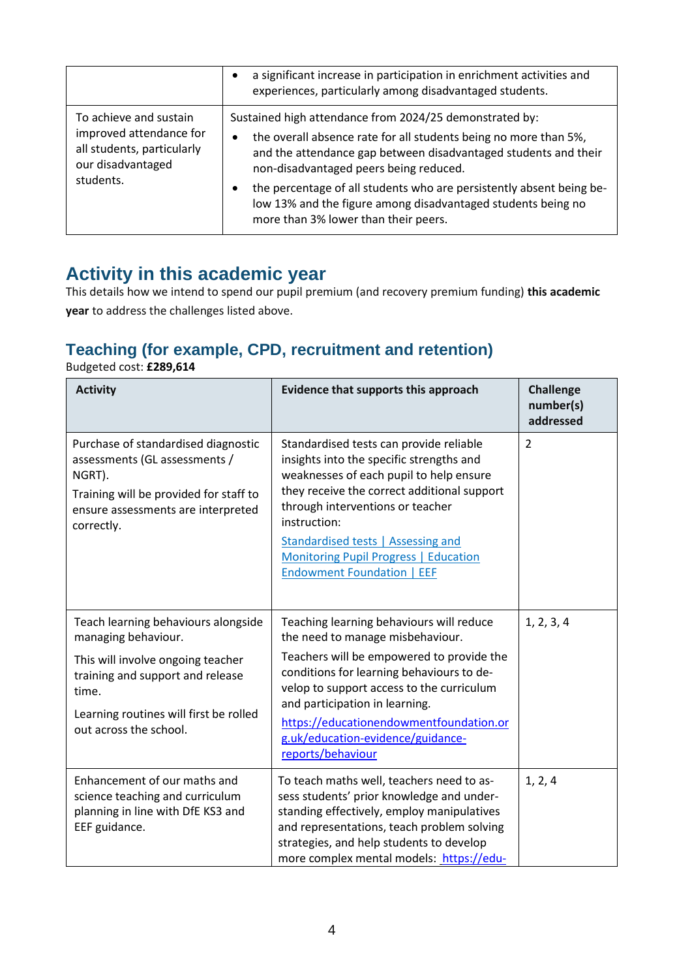|                                                                                                                   | a significant increase in participation in enrichment activities and<br>experiences, particularly among disadvantaged students.                                                                                                                                                                                                                                                                                               |
|-------------------------------------------------------------------------------------------------------------------|-------------------------------------------------------------------------------------------------------------------------------------------------------------------------------------------------------------------------------------------------------------------------------------------------------------------------------------------------------------------------------------------------------------------------------|
| To achieve and sustain<br>improved attendance for<br>all students, particularly<br>our disadvantaged<br>students. | Sustained high attendance from 2024/25 demonstrated by:<br>the overall absence rate for all students being no more than 5%,<br>٠<br>and the attendance gap between disadvantaged students and their<br>non-disadvantaged peers being reduced.<br>the percentage of all students who are persistently absent being be-<br>low 13% and the figure among disadvantaged students being no<br>more than 3% lower than their peers. |

#### **Activity in this academic year**

This details how we intend to spend our pupil premium (and recovery premium funding) **this academic year** to address the challenges listed above.

#### **Teaching (for example, CPD, recruitment and retention)**

Budgeted cost: **£289,614**

| <b>Activity</b>                                                                                                                                                                                                  | Evidence that supports this approach                                                                                                                                                                                                                                                                                                                       | <b>Challenge</b><br>number(s)<br>addressed |
|------------------------------------------------------------------------------------------------------------------------------------------------------------------------------------------------------------------|------------------------------------------------------------------------------------------------------------------------------------------------------------------------------------------------------------------------------------------------------------------------------------------------------------------------------------------------------------|--------------------------------------------|
| Purchase of standardised diagnostic<br>assessments (GL assessments /<br>NGRT).<br>Training will be provided for staff to<br>ensure assessments are interpreted<br>correctly.                                     | Standardised tests can provide reliable<br>insights into the specific strengths and<br>weaknesses of each pupil to help ensure<br>they receive the correct additional support<br>through interventions or teacher<br>instruction:<br>Standardised tests   Assessing and<br>Monitoring Pupil Progress   Education<br><b>Endowment Foundation   EEF</b>      | $\overline{2}$                             |
| Teach learning behaviours alongside<br>managing behaviour.<br>This will involve ongoing teacher<br>training and support and release<br>time.<br>Learning routines will first be rolled<br>out across the school. | Teaching learning behaviours will reduce<br>the need to manage misbehaviour.<br>Teachers will be empowered to provide the<br>conditions for learning behaviours to de-<br>velop to support access to the curriculum<br>and participation in learning.<br>https://educationendowmentfoundation.or<br>g.uk/education-evidence/guidance-<br>reports/behaviour | 1, 2, 3, 4                                 |
| Enhancement of our maths and<br>science teaching and curriculum<br>planning in line with DfE KS3 and<br>EEF guidance.                                                                                            | To teach maths well, teachers need to as-<br>sess students' prior knowledge and under-<br>standing effectively, employ manipulatives<br>and representations, teach problem solving<br>strategies, and help students to develop<br>more complex mental models: https://edu-                                                                                 | 1, 2, 4                                    |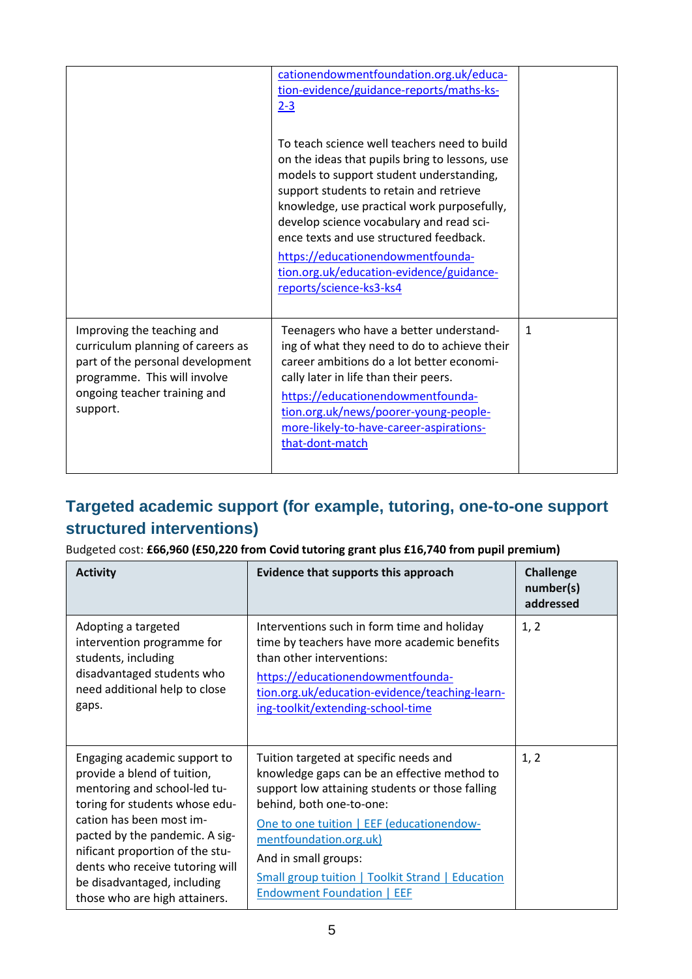|                                                                                                                                                                                 | cationendowmentfoundation.org.uk/educa-<br>tion-evidence/guidance-reports/maths-ks-<br>$2 - 3$<br>To teach science well teachers need to build<br>on the ideas that pupils bring to lessons, use<br>models to support student understanding,<br>support students to retain and retrieve<br>knowledge, use practical work purposefully,<br>develop science vocabulary and read sci-<br>ence texts and use structured feedback.<br>https://educationendowmentfounda-<br>tion.org.uk/education-evidence/guidance-<br>reports/science-ks3-ks4 |              |
|---------------------------------------------------------------------------------------------------------------------------------------------------------------------------------|-------------------------------------------------------------------------------------------------------------------------------------------------------------------------------------------------------------------------------------------------------------------------------------------------------------------------------------------------------------------------------------------------------------------------------------------------------------------------------------------------------------------------------------------|--------------|
| Improving the teaching and<br>curriculum planning of careers as<br>part of the personal development<br>programme. This will involve<br>ongoing teacher training and<br>support. | Teenagers who have a better understand-<br>ing of what they need to do to achieve their<br>career ambitions do a lot better economi-<br>cally later in life than their peers.<br>https://educationendowmentfounda-<br>tion.org.uk/news/poorer-young-people-<br>more-likely-to-have-career-aspirations-<br>that-dont-match                                                                                                                                                                                                                 | $\mathbf{1}$ |

#### **Targeted academic support (for example, tutoring, one-to-one support structured interventions)**

Budgeted cost: **£66,960 (£50,220 from Covid tutoring grant plus £16,740 from pupil premium)**

| <b>Activity</b>                                                                                                                                                                                                                                                                                                                   | Evidence that supports this approach                                                                                                                                                                                                                                                                                                                          | <b>Challenge</b><br>number(s)<br>addressed |
|-----------------------------------------------------------------------------------------------------------------------------------------------------------------------------------------------------------------------------------------------------------------------------------------------------------------------------------|---------------------------------------------------------------------------------------------------------------------------------------------------------------------------------------------------------------------------------------------------------------------------------------------------------------------------------------------------------------|--------------------------------------------|
| Adopting a targeted<br>intervention programme for<br>students, including<br>disadvantaged students who<br>need additional help to close<br>gaps.                                                                                                                                                                                  | Interventions such in form time and holiday<br>time by teachers have more academic benefits<br>than other interventions:<br>https://educationendowmentfounda-<br>tion.org.uk/education-evidence/teaching-learn-<br>ing-toolkit/extending-school-time                                                                                                          | 1, 2                                       |
| Engaging academic support to<br>provide a blend of tuition,<br>mentoring and school-led tu-<br>toring for students whose edu-<br>cation has been most im-<br>pacted by the pandemic. A sig-<br>nificant proportion of the stu-<br>dents who receive tutoring will<br>be disadvantaged, including<br>those who are high attainers. | Tuition targeted at specific needs and<br>knowledge gaps can be an effective method to<br>support low attaining students or those falling<br>behind, both one-to-one:<br>One to one tuition   EEF (educationendow-<br>mentfoundation.org.uk)<br>And in small groups:<br><b>Small group tuition   Toolkit Strand   Education</b><br>Endowment Foundation   EEF | 1, 2                                       |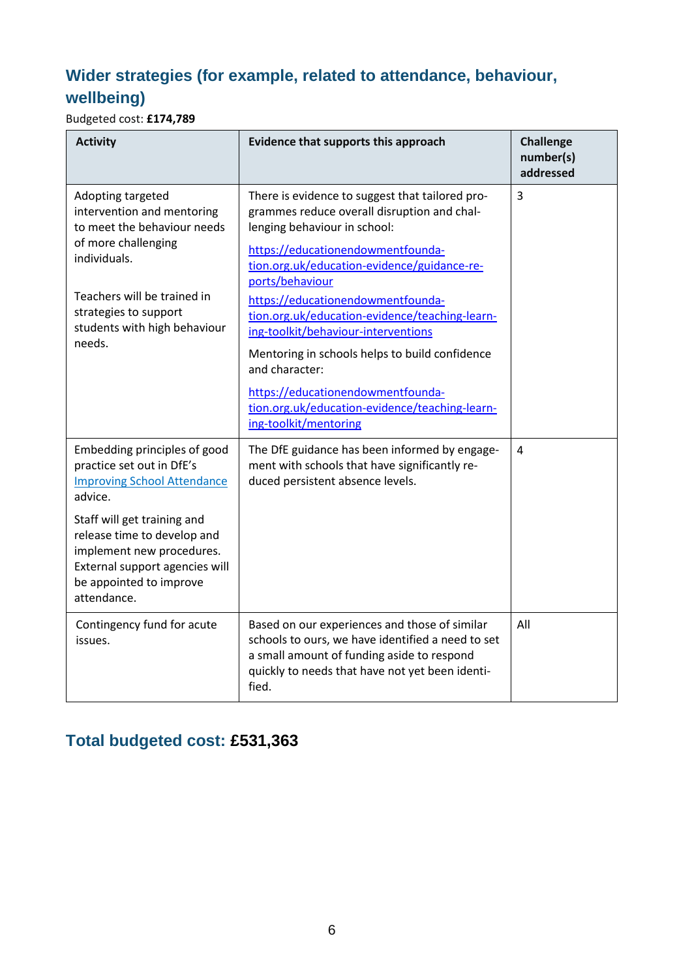#### **Wider strategies (for example, related to attendance, behaviour, wellbeing)**

Budgeted cost: **£174,789**

| <b>Activity</b>                                                                                                                                                                                                                                                                   | Evidence that supports this approach                                                                                                                                                                                                                                                                                                                                                                                                                                                                                                                    | <b>Challenge</b><br>number(s)<br>addressed |
|-----------------------------------------------------------------------------------------------------------------------------------------------------------------------------------------------------------------------------------------------------------------------------------|---------------------------------------------------------------------------------------------------------------------------------------------------------------------------------------------------------------------------------------------------------------------------------------------------------------------------------------------------------------------------------------------------------------------------------------------------------------------------------------------------------------------------------------------------------|--------------------------------------------|
| Adopting targeted<br>intervention and mentoring<br>to meet the behaviour needs<br>of more challenging<br>individuals.<br>Teachers will be trained in<br>strategies to support<br>students with high behaviour<br>needs.                                                           | There is evidence to suggest that tailored pro-<br>grammes reduce overall disruption and chal-<br>lenging behaviour in school:<br>https://educationendowmentfounda-<br>tion.org.uk/education-evidence/guidance-re-<br>ports/behaviour<br>https://educationendowmentfounda-<br>tion.org.uk/education-evidence/teaching-learn-<br>ing-toolkit/behaviour-interventions<br>Mentoring in schools helps to build confidence<br>and character:<br>https://educationendowmentfounda-<br>tion.org.uk/education-evidence/teaching-learn-<br>ing-toolkit/mentoring | 3                                          |
| Embedding principles of good<br>practice set out in DfE's<br><b>Improving School Attendance</b><br>advice.<br>Staff will get training and<br>release time to develop and<br>implement new procedures.<br>External support agencies will<br>be appointed to improve<br>attendance. | The DfE guidance has been informed by engage-<br>ment with schools that have significantly re-<br>duced persistent absence levels.                                                                                                                                                                                                                                                                                                                                                                                                                      | 4                                          |
| Contingency fund for acute<br>issues.                                                                                                                                                                                                                                             | Based on our experiences and those of similar<br>schools to ours, we have identified a need to set<br>a small amount of funding aside to respond<br>quickly to needs that have not yet been identi-<br>fied.                                                                                                                                                                                                                                                                                                                                            | All                                        |

#### **Total budgeted cost: £531,363**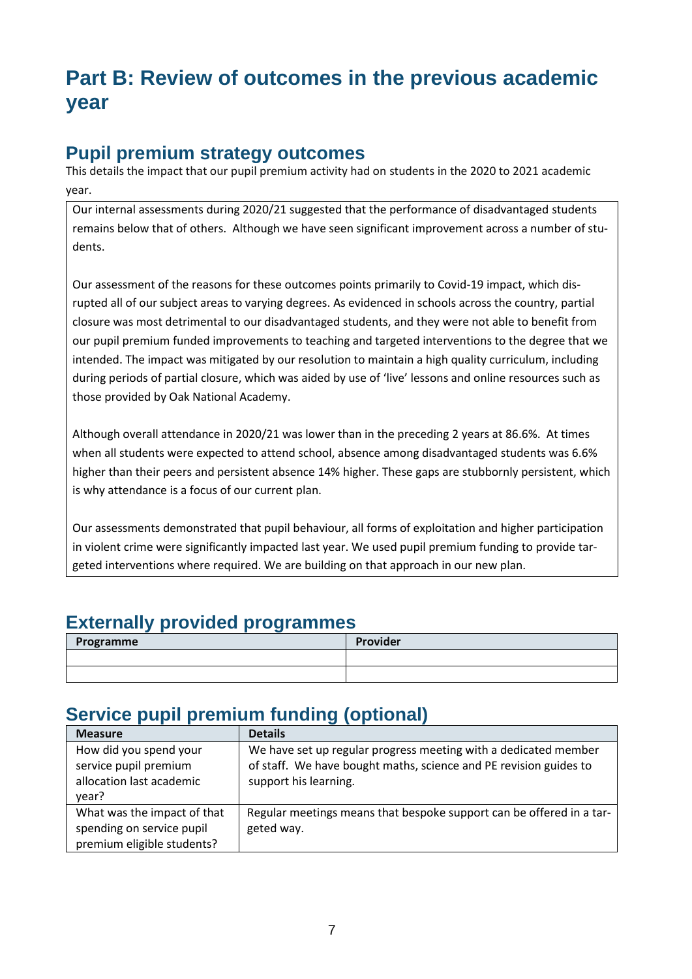## **Part B: Review of outcomes in the previous academic year**

#### **Pupil premium strategy outcomes**

This details the impact that our pupil premium activity had on students in the 2020 to 2021 academic year.

Our internal assessments during 2020/21 suggested that the performance of disadvantaged students remains below that of others. Although we have seen significant improvement across a number of students.

Our assessment of the reasons for these outcomes points primarily to Covid-19 impact, which disrupted all of our subject areas to varying degrees. As evidenced in schools across the country, partial closure was most detrimental to our disadvantaged students, and they were not able to benefit from our pupil premium funded improvements to teaching and targeted interventions to the degree that we intended. The impact was mitigated by our resolution to maintain a high quality curriculum, including during periods of partial closure, which was aided by use of 'live' lessons and online resources such as those provided by Oak National Academy.

Although overall attendance in 2020/21 was lower than in the preceding 2 years at 86.6%. At times when all students were expected to attend school, absence among disadvantaged students was 6.6% higher than their peers and persistent absence 14% higher. These gaps are stubbornly persistent, which is why attendance is a focus of our current plan.

Our assessments demonstrated that pupil behaviour, all forms of exploitation and higher participation in violent crime were significantly impacted last year. We used pupil premium funding to provide targeted interventions where required. We are building on that approach in our new plan.

#### **Externally provided programmes**

| Programme | Provider |
|-----------|----------|
|           |          |
|           |          |

### **Service pupil premium funding (optional)**

| <b>Measure</b>                                                                         | <b>Details</b>                                                                                                                                                |
|----------------------------------------------------------------------------------------|---------------------------------------------------------------------------------------------------------------------------------------------------------------|
| How did you spend your<br>service pupil premium<br>allocation last academic<br>vear?   | We have set up regular progress meeting with a dedicated member<br>of staff. We have bought maths, science and PE revision guides to<br>support his learning. |
| What was the impact of that<br>spending on service pupil<br>premium eligible students? | Regular meetings means that bespoke support can be offered in a tar-<br>geted way.                                                                            |